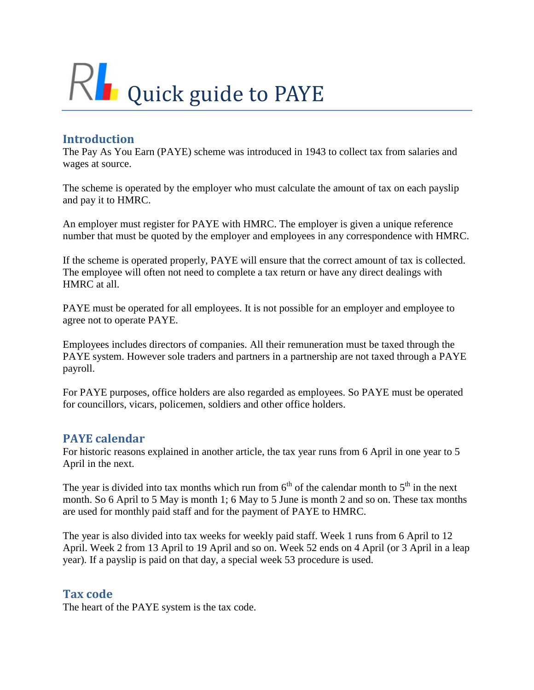

# **Introduction**

The Pay As You Earn (PAYE) scheme was introduced in 1943 to collect tax from salaries and wages at source.

The scheme is operated by the employer who must calculate the amount of tax on each payslip and pay it to HMRC.

An employer must register for PAYE with HMRC. The employer is given a unique reference number that must be quoted by the employer and employees in any correspondence with HMRC.

If the scheme is operated properly, PAYE will ensure that the correct amount of tax is collected. The employee will often not need to complete a tax return or have any direct dealings with HMRC at all.

PAYE must be operated for all employees. It is not possible for an employer and employee to agree not to operate PAYE.

Employees includes directors of companies. All their remuneration must be taxed through the PAYE system. However sole traders and partners in a partnership are not taxed through a PAYE payroll.

For PAYE purposes, office holders are also regarded as employees. So PAYE must be operated for councillors, vicars, policemen, soldiers and other office holders.

## **PAYE calendar**

For historic reasons explained in another article, the tax year runs from 6 April in one year to 5 April in the next.

The year is divided into tax months which run from  $6<sup>th</sup>$  of the calendar month to  $5<sup>th</sup>$  in the next month. So 6 April to 5 May is month 1; 6 May to 5 June is month 2 and so on. These tax months are used for monthly paid staff and for the payment of PAYE to HMRC.

The year is also divided into tax weeks for weekly paid staff. Week 1 runs from 6 April to 12 April. Week 2 from 13 April to 19 April and so on. Week 52 ends on 4 April (or 3 April in a leap year). If a payslip is paid on that day, a special week 53 procedure is used.

### **Tax code**

The heart of the PAYE system is the tax code.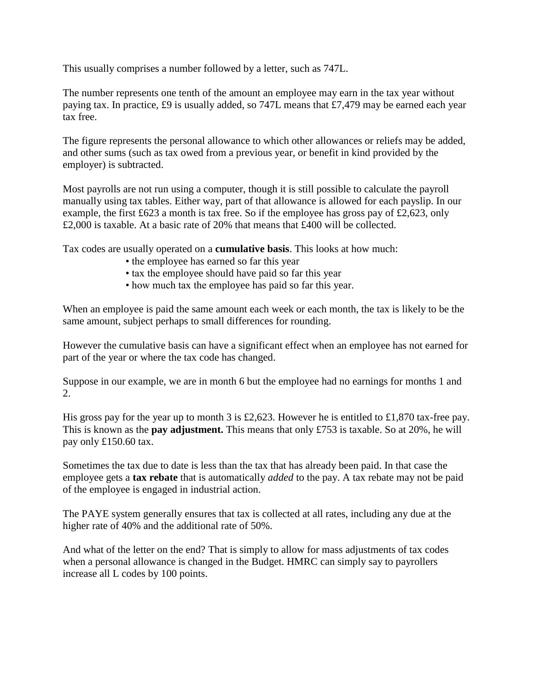This usually comprises a number followed by a letter, such as 747L.

The number represents one tenth of the amount an employee may earn in the tax year without paying tax. In practice, £9 is usually added, so 747L means that £7,479 may be earned each year tax free.

The figure represents the personal allowance to which other allowances or reliefs may be added, and other sums (such as tax owed from a previous year, or benefit in kind provided by the employer) is subtracted.

Most payrolls are not run using a computer, though it is still possible to calculate the payroll manually using tax tables. Either way, part of that allowance is allowed for each payslip. In our example, the first £623 a month is tax free. So if the employee has gross pay of £2,623, only £2,000 is taxable. At a basic rate of 20% that means that £400 will be collected.

Tax codes are usually operated on a **cumulative basis**. This looks at how much:

- the employee has earned so far this year
- tax the employee should have paid so far this year
- how much tax the employee has paid so far this year.

When an employee is paid the same amount each week or each month, the tax is likely to be the same amount, subject perhaps to small differences for rounding.

However the cumulative basis can have a significant effect when an employee has not earned for part of the year or where the tax code has changed.

Suppose in our example, we are in month 6 but the employee had no earnings for months 1 and 2.

His gross pay for the year up to month 3 is £2,623. However he is entitled to £1,870 tax-free pay. This is known as the **pay adjustment.** This means that only £753 is taxable. So at 20%, he will pay only £150.60 tax.

Sometimes the tax due to date is less than the tax that has already been paid. In that case the employee gets a **tax rebate** that is automatically *added* to the pay. A tax rebate may not be paid of the employee is engaged in industrial action.

The PAYE system generally ensures that tax is collected at all rates, including any due at the higher rate of 40% and the additional rate of 50%.

And what of the letter on the end? That is simply to allow for mass adjustments of tax codes when a personal allowance is changed in the Budget. HMRC can simply say to payrollers increase all L codes by 100 points.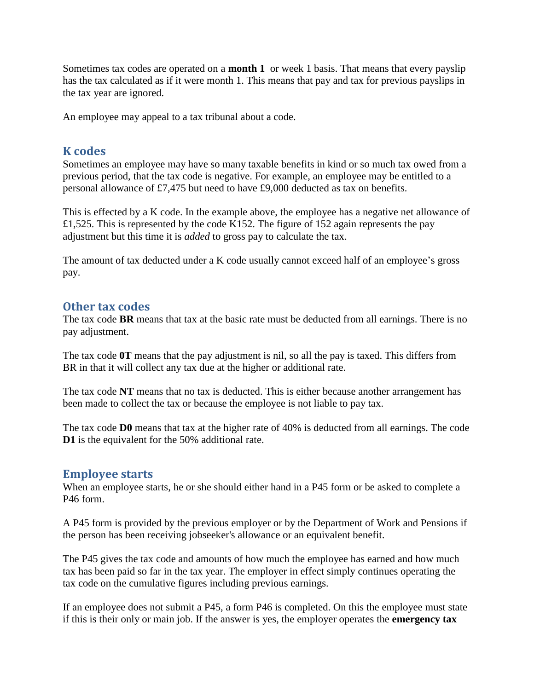Sometimes tax codes are operated on a **month 1** or week 1 basis. That means that every payslip has the tax calculated as if it were month 1. This means that pay and tax for previous payslips in the tax year are ignored.

An employee may appeal to a tax tribunal about a code.

### **K codes**

Sometimes an employee may have so many taxable benefits in kind or so much tax owed from a previous period, that the tax code is negative. For example, an employee may be entitled to a personal allowance of £7,475 but need to have £9,000 deducted as tax on benefits.

This is effected by a K code. In the example above, the employee has a negative net allowance of £1,525. This is represented by the code K152. The figure of 152 again represents the pay adjustment but this time it is *added* to gross pay to calculate the tax.

The amount of tax deducted under a K code usually cannot exceed half of an employee's gross pay.

### **Other tax codes**

The tax code **BR** means that tax at the basic rate must be deducted from all earnings. There is no pay adjustment.

The tax code **0T** means that the pay adjustment is nil, so all the pay is taxed. This differs from BR in that it will collect any tax due at the higher or additional rate.

The tax code **NT** means that no tax is deducted. This is either because another arrangement has been made to collect the tax or because the employee is not liable to pay tax.

The tax code **D0** means that tax at the higher rate of 40% is deducted from all earnings. The code **D1** is the equivalent for the 50% additional rate.

#### **Employee starts**

When an employee starts, he or she should either hand in a P45 form or be asked to complete a P46 form.

A P45 form is provided by the previous employer or by the Department of Work and Pensions if the person has been receiving jobseeker's allowance or an equivalent benefit.

The P45 gives the tax code and amounts of how much the employee has earned and how much tax has been paid so far in the tax year. The employer in effect simply continues operating the tax code on the cumulative figures including previous earnings.

If an employee does not submit a P45, a form P46 is completed. On this the employee must state if this is their only or main job. If the answer is yes, the employer operates the **emergency tax**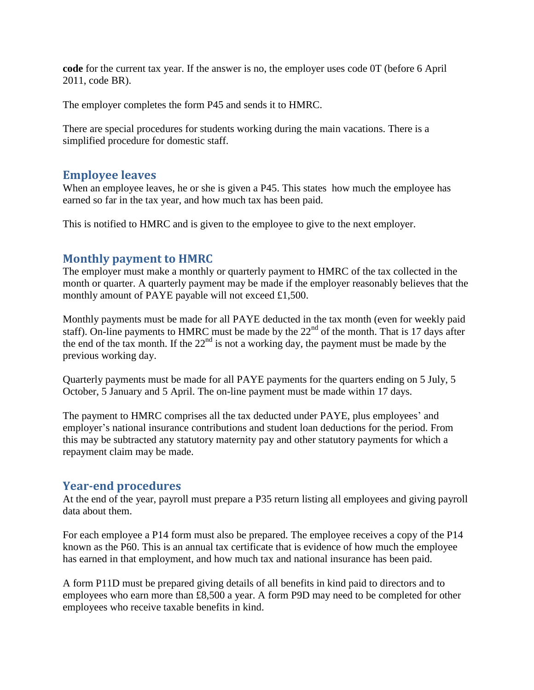**code** for the current tax year. If the answer is no, the employer uses code 0T (before 6 April 2011, code BR).

The employer completes the form P45 and sends it to HMRC.

There are special procedures for students working during the main vacations. There is a simplified procedure for domestic staff.

### **Employee leaves**

When an employee leaves, he or she is given a P45. This states how much the employee has earned so far in the tax year, and how much tax has been paid.

This is notified to HMRC and is given to the employee to give to the next employer.

## **Monthly payment to HMRC**

The employer must make a monthly or quarterly payment to HMRC of the tax collected in the month or quarter. A quarterly payment may be made if the employer reasonably believes that the monthly amount of PAYE payable will not exceed £1,500.

Monthly payments must be made for all PAYE deducted in the tax month (even for weekly paid staff). On-line payments to HMRC must be made by the  $22<sup>nd</sup>$  of the month. That is 17 days after the end of the tax month. If the  $22<sup>nd</sup>$  is not a working day, the payment must be made by the previous working day.

Quarterly payments must be made for all PAYE payments for the quarters ending on 5 July, 5 October, 5 January and 5 April. The on-line payment must be made within 17 days.

The payment to HMRC comprises all the tax deducted under PAYE, plus employees' and employer's national insurance contributions and student loan deductions for the period. From this may be subtracted any statutory maternity pay and other statutory payments for which a repayment claim may be made.

## **Year-end procedures**

At the end of the year, payroll must prepare a P35 return listing all employees and giving payroll data about them.

For each employee a P14 form must also be prepared. The employee receives a copy of the P14 known as the P60. This is an annual tax certificate that is evidence of how much the employee has earned in that employment, and how much tax and national insurance has been paid.

A form P11D must be prepared giving details of all benefits in kind paid to directors and to employees who earn more than £8,500 a year. A form P9D may need to be completed for other employees who receive taxable benefits in kind.